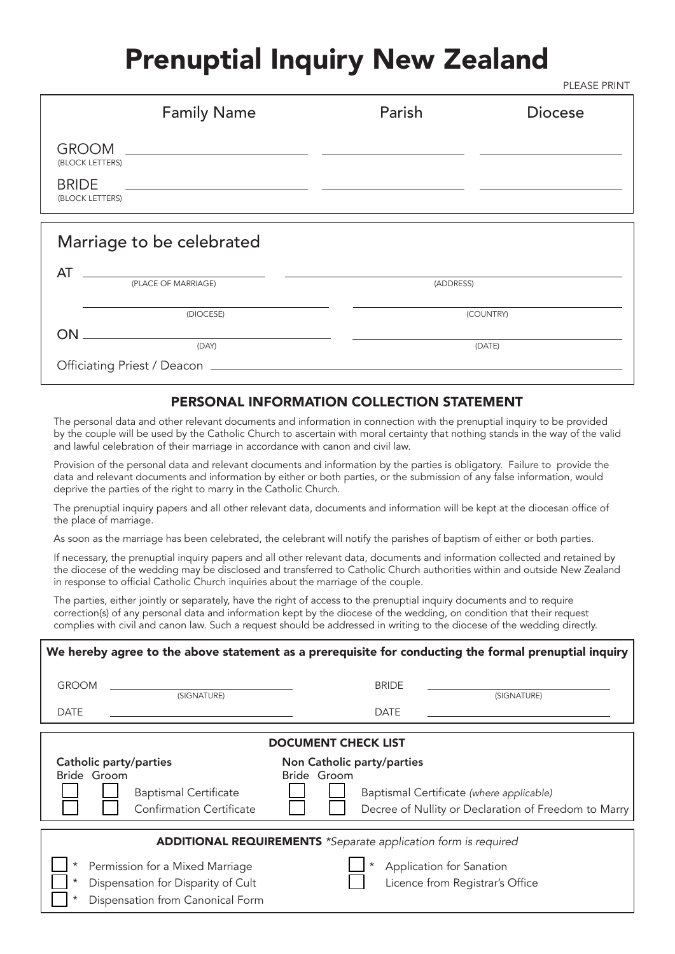# Prenuptial Inquiry New Zealand

PLEASE PRINT

| Parish                                                                                                                                                                                                                                                              | <b>Diocese</b> |
|---------------------------------------------------------------------------------------------------------------------------------------------------------------------------------------------------------------------------------------------------------------------|----------------|
| $GROOM$ and $GROOM$ and $GROOM$ are all $GROOM$ and $GROOM$ are all $GROOM$ and $GROOM$ are all $GROOM$ and $GROOM$ are all $GROOM$ and $GROOM$ are all $GROOM$ and $GROOM$ are all $GROOM$ and $GROOM$ are all $GROOM$ and $GROOM$ are all $GROOM$ and $GROOM$ are |                |
|                                                                                                                                                                                                                                                                     |                |
|                                                                                                                                                                                                                                                                     |                |
|                                                                                                                                                                                                                                                                     |                |
|                                                                                                                                                                                                                                                                     |                |
| (ADDRESS)                                                                                                                                                                                                                                                           |                |
|                                                                                                                                                                                                                                                                     | (COUNTRY)      |
|                                                                                                                                                                                                                                                                     |                |
|                                                                                                                                                                                                                                                                     | (DATE)         |
|                                                                                                                                                                                                                                                                     |                |
|                                                                                                                                                                                                                                                                     |                |

### PERSONAL INFORMATION COLLECTION STATEMENT

The personal data and other relevant documents and information in connection with the prenuptial inquiry to be provided by the couple will be used by the Catholic Church to ascertain with moral certainty that nothing stands in the way of the valid and lawful celebration of their marriage in accordance with canon and civil law.

Provision of the personal data and relevant documents and information by the parties is obligatory. Failure to provide the data and relevant documents and information by either or both parties, or the submission of any false information, would deprive the parties of the right to marry in the Catholic Church.

The prenuptial inquiry papers and all other relevant data, documents and information will be kept at the diocesan office of the place of marriage.

As soon as the marriage has been celebrated, the celebrant will notify the parishes of baptism of either or both parties.

If necessary, the prenuptial inquiry papers and all other relevant data, documents and information collected and retained by the diocese of the wedding may be disclosed and transferred to Catholic Church authorities within and outside New Zealand in response to official Catholic Church inquiries about the marriage of the couple.

The parties, either jointly or separately, have the right of access to the prenuptial inquiry documents and to require correction(s) of any personal data and information kept by the diocese of the wedding, on condition that their request complies with civil and canon law. Such a request should be addressed in writing to the diocese of the wedding directly.

| We hereby agree to the above statement as a prerequisite for conducting the formal prenuptial inquiry                                        |                                                                                                                 |  |  |  |  |
|----------------------------------------------------------------------------------------------------------------------------------------------|-----------------------------------------------------------------------------------------------------------------|--|--|--|--|
| <b>GROOM</b><br>(SIGNATURE)                                                                                                                  | <b>BRIDE</b><br>(SIGNATURE)                                                                                     |  |  |  |  |
| <b>DATE</b>                                                                                                                                  | <b>DATE</b>                                                                                                     |  |  |  |  |
| <b>DOCUMENT CHECK LIST</b>                                                                                                                   |                                                                                                                 |  |  |  |  |
| <b>Catholic party/parties</b><br>Non Catholic party/parties                                                                                  |                                                                                                                 |  |  |  |  |
| Bride Groom<br><b>Baptismal Certificate</b><br><b>Confirmation Certificate</b>                                                               | Bride Groom<br>Baptismal Certificate (where applicable)<br>Decree of Nullity or Declaration of Freedom to Marry |  |  |  |  |
| <b>ADDITIONAL REQUIREMENTS</b> *Separate application form is required                                                                        |                                                                                                                 |  |  |  |  |
| $^\star$<br>Permission for a Mixed Marriage<br>$^\star$<br>Dispensation for Disparity of Cult<br>Dispensation from Canonical Form<br>$\star$ | Application for Sanation<br>Licence from Registrar's Office                                                     |  |  |  |  |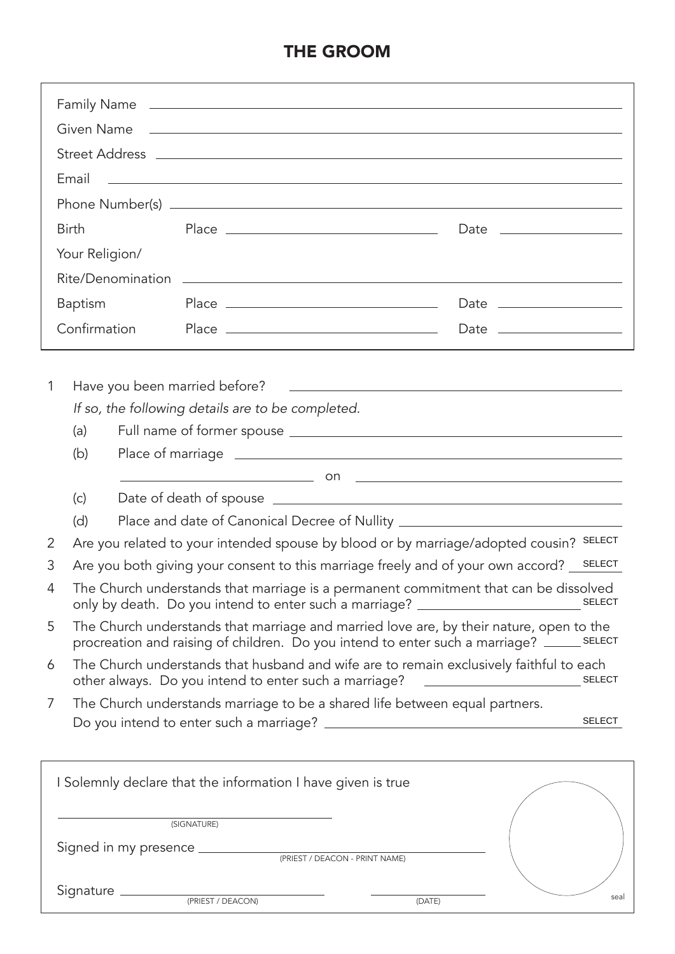# THE GROOM

|   |                                                                                                                                                                                        |  | Family Name                                                                                                                                      |                                                                                                                                                                                       |  |
|---|----------------------------------------------------------------------------------------------------------------------------------------------------------------------------------------|--|--------------------------------------------------------------------------------------------------------------------------------------------------|---------------------------------------------------------------------------------------------------------------------------------------------------------------------------------------|--|
|   |                                                                                                                                                                                        |  |                                                                                                                                                  |                                                                                                                                                                                       |  |
|   |                                                                                                                                                                                        |  |                                                                                                                                                  |                                                                                                                                                                                       |  |
|   | Email                                                                                                                                                                                  |  |                                                                                                                                                  | <u> 1999 - Johann Harry Harry Harry Harry Harry Harry Harry Harry Harry Harry Harry Harry Harry Harry Harry Harry H</u>                                                               |  |
|   |                                                                                                                                                                                        |  |                                                                                                                                                  |                                                                                                                                                                                       |  |
|   | <b>Birth</b>                                                                                                                                                                           |  |                                                                                                                                                  | Date ____________________                                                                                                                                                             |  |
|   | Your Religion/                                                                                                                                                                         |  |                                                                                                                                                  |                                                                                                                                                                                       |  |
|   |                                                                                                                                                                                        |  |                                                                                                                                                  |                                                                                                                                                                                       |  |
|   | <b>Baptism</b>                                                                                                                                                                         |  |                                                                                                                                                  |                                                                                                                                                                                       |  |
|   | Confirmation                                                                                                                                                                           |  |                                                                                                                                                  |                                                                                                                                                                                       |  |
|   |                                                                                                                                                                                        |  |                                                                                                                                                  |                                                                                                                                                                                       |  |
|   |                                                                                                                                                                                        |  |                                                                                                                                                  |                                                                                                                                                                                       |  |
| 1 |                                                                                                                                                                                        |  |                                                                                                                                                  |                                                                                                                                                                                       |  |
|   |                                                                                                                                                                                        |  | If so, the following details are to be completed.                                                                                                |                                                                                                                                                                                       |  |
|   | (a)                                                                                                                                                                                    |  |                                                                                                                                                  |                                                                                                                                                                                       |  |
|   | (b)                                                                                                                                                                                    |  |                                                                                                                                                  |                                                                                                                                                                                       |  |
|   | (c)                                                                                                                                                                                    |  |                                                                                                                                                  |                                                                                                                                                                                       |  |
|   | (d)                                                                                                                                                                                    |  |                                                                                                                                                  | Place and date of Canonical Decree of Nullity __________________________________                                                                                                      |  |
| 2 |                                                                                                                                                                                        |  |                                                                                                                                                  | Are you related to your intended spouse by blood or by marriage/adopted cousin? SELECT                                                                                                |  |
| 3 |                                                                                                                                                                                        |  |                                                                                                                                                  |                                                                                                                                                                                       |  |
| 4 | Are you both giving your consent to this marriage freely and of your own accord? <u>SELECT</u><br>The Church understands that marriage is a permanent commitment that can be dissolved |  |                                                                                                                                                  |                                                                                                                                                                                       |  |
| 5 |                                                                                                                                                                                        |  |                                                                                                                                                  | The Church understands that marriage and married love are, by their nature, open to the<br>procreation and raising of children. Do you intend to enter such a marriage? ______ SELECT |  |
| 6 |                                                                                                                                                                                        |  | The Church understands that husband and wife are to remain exclusively faithful to each<br>other always. Do you intend to enter such a marriage? | <b>SELECT</b><br><u> 1989 - Andrea Barbara, poeta esperanto-</u>                                                                                                                      |  |
| 7 |                                                                                                                                                                                        |  | The Church understands marriage to be a shared life between equal partners.                                                                      |                                                                                                                                                                                       |  |
|   |                                                                                                                                                                                        |  |                                                                                                                                                  | <b>SELECT</b>                                                                                                                                                                         |  |
|   |                                                                                                                                                                                        |  |                                                                                                                                                  |                                                                                                                                                                                       |  |
|   |                                                                                                                                                                                        |  | I Solemnly declare that the information I have given is true                                                                                     |                                                                                                                                                                                       |  |
|   | (SIGNATURE)                                                                                                                                                                            |  |                                                                                                                                                  |                                                                                                                                                                                       |  |
|   |                                                                                                                                                                                        |  |                                                                                                                                                  |                                                                                                                                                                                       |  |
|   |                                                                                                                                                                                        |  |                                                                                                                                                  |                                                                                                                                                                                       |  |
|   |                                                                                                                                                                                        |  | Signature <u>examples and presser (DEACON)</u>                                                                                                   | seal<br>IDATE                                                                                                                                                                         |  |

(PRIEST / DEACON)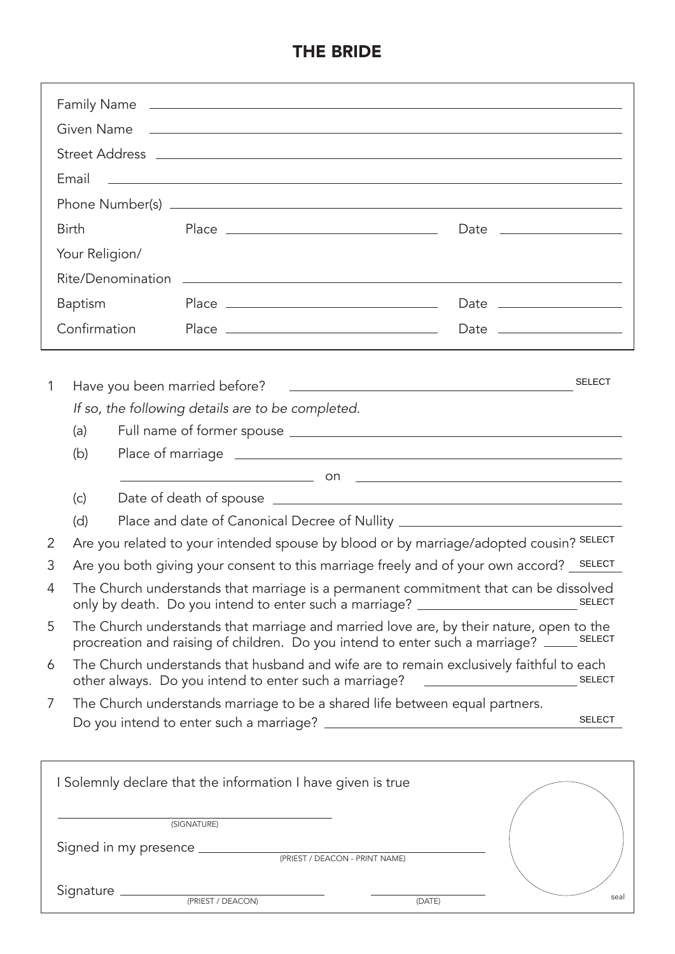## THE BRIDE

|          | Family Name    |  |                                                              |                                                                                                                                                                            |               |
|----------|----------------|--|--------------------------------------------------------------|----------------------------------------------------------------------------------------------------------------------------------------------------------------------------|---------------|
|          |                |  |                                                              |                                                                                                                                                                            |               |
|          |                |  |                                                              |                                                                                                                                                                            |               |
|          | Email          |  |                                                              | <u> 1999 - Johann Stoff, deutscher Stoffen und der Stoffen und der Stoffen und der Stoffen und der Stoffen und der</u>                                                     |               |
|          |                |  |                                                              |                                                                                                                                                                            |               |
|          | <b>Birth</b>   |  |                                                              | Date ___________________                                                                                                                                                   |               |
|          | Your Religion/ |  |                                                              |                                                                                                                                                                            |               |
|          |                |  |                                                              |                                                                                                                                                                            |               |
|          | <b>Baptism</b> |  |                                                              |                                                                                                                                                                            |               |
|          | Confirmation   |  |                                                              |                                                                                                                                                                            |               |
|          |                |  |                                                              |                                                                                                                                                                            |               |
| 1        |                |  |                                                              |                                                                                                                                                                            | <b>SELECT</b> |
|          |                |  | If so, the following details are to be completed.            |                                                                                                                                                                            |               |
|          | (a)            |  |                                                              |                                                                                                                                                                            |               |
|          | (b)            |  |                                                              |                                                                                                                                                                            |               |
|          |                |  |                                                              |                                                                                                                                                                            |               |
|          | (c)            |  |                                                              |                                                                                                                                                                            |               |
|          | (d)            |  |                                                              | Place and date of Canonical Decree of Nullity __________________________________                                                                                           |               |
| 2        |                |  |                                                              | Are you related to your intended spouse by blood or by marriage/adopted cousin? SELECT                                                                                     |               |
| 3        |                |  |                                                              | Are you both giving your consent to this marriage freely and of your own accord? _SELECT                                                                                   |               |
| $\Delta$ |                |  |                                                              | The Church understands that marriage is a permanent commitment that can be dissolved<br>only by death. Do you intend to enter such a marriage? _________________________   | <b>SELECT</b> |
| 5        |                |  |                                                              | The Church understands that marriage and married love are, by their nature, open to the<br>procreation and raising of children. Do you intend to enter such a marriage? __ | <b>SELECT</b> |
| 6        |                |  | other always. Do you intend to enter such a marriage?        | The Church understands that husband and wife are to remain exclusively faithful to each<br><u> 1989 - Johann Barn, mars ann an t-Amhain</u>                                | <b>SELECT</b> |
| 7        |                |  |                                                              | The Church understands marriage to be a shared life between equal partners.                                                                                                |               |
|          |                |  |                                                              |                                                                                                                                                                            | <b>SELECT</b> |
|          |                |  |                                                              |                                                                                                                                                                            |               |
|          |                |  | I Solemnly declare that the information I have given is true |                                                                                                                                                                            |               |
|          |                |  |                                                              |                                                                                                                                                                            |               |
|          |                |  | (SIGNATURE)                                                  |                                                                                                                                                                            |               |
|          |                |  |                                                              |                                                                                                                                                                            |               |

 $Signature \n\longrightarrow$ (PRIEST / DEACON)

(DATE)